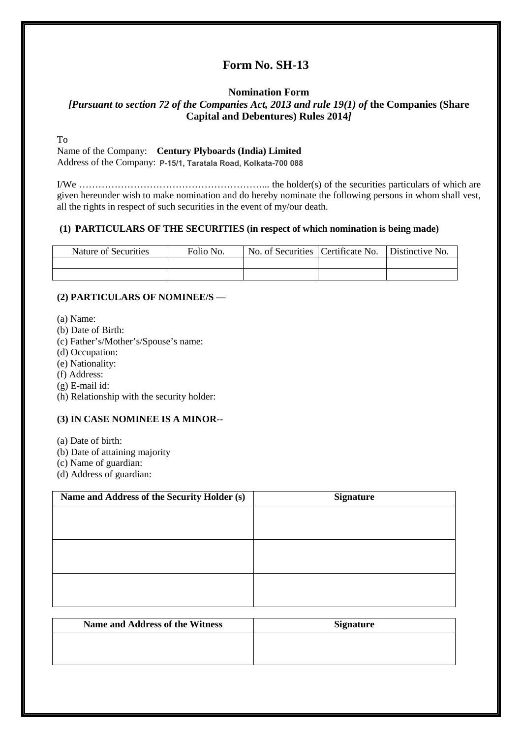# **Form No. SH-13**

# **Nomination Form** *[Pursuant to section 72 of the Companies Act, 2013 and rule 19(1) of the Companies (Share* **Capital and Debentures) Rules 2014***]*

To

Name of the Company: **Century Plyboards (India) Limited**

Address of the Company: P-15/1, Taratala Road, Kolkata-700 088

I/We …………………………………………………... the holder(s) of the securities particulars of which are given hereunder wish to make nomination and do hereby nominate the following persons in whom shall vest, all the rights in respect of such securities in the event of my/our death.

## **(1) PARTICULARS OF THE SECURITIES (in respect of which nomination is being made)**

| Nature of Securities | Folio No. | No. of Securities   Certificate No. | Distinctive No. |
|----------------------|-----------|-------------------------------------|-----------------|
|                      |           |                                     |                 |
|                      |           |                                     |                 |

## **(2) PARTICULARS OF NOMINEE/S —**

- (a) Name:
- (b) Date of Birth:
- (c) Father's/Mother's/Spouse's name:
- (d) Occupation:
- (e) Nationality:
- (f) Address:
- (g) E-mail id:
- (h) Relationship with the security holder:

# **(3) IN CASE NOMINEE IS A MINOR--**

- (a) Date of birth:
- (b) Date of attaining majority
- (c) Name of guardian:
- (d) Address of guardian:

| Name and Address of the Security Holder (s) | <b>Signature</b> |
|---------------------------------------------|------------------|
|                                             |                  |
|                                             |                  |
|                                             |                  |
|                                             |                  |
|                                             |                  |
|                                             |                  |
|                                             |                  |

| <b>Name and Address of the Witness</b> | <b>Signature</b> |
|----------------------------------------|------------------|
|                                        |                  |
|                                        |                  |